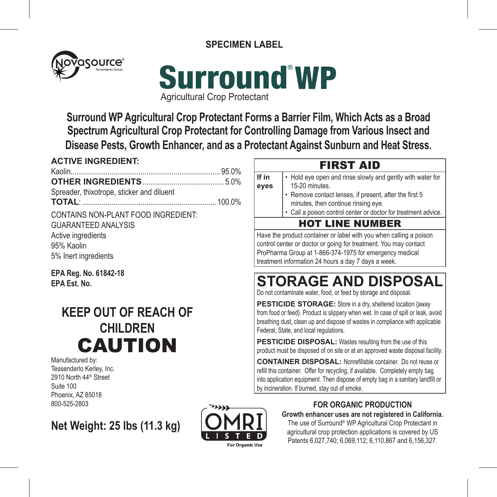**SPECIMEN LABEL**





**Surround WP Agricultural Crop Protectant Forms a Barrier Film, Which Acts as a Broad Spectrum Agricultural Crop Protectant for Controlling Damage from Various Insect and Disease Pests, Growth Enhancer, and as a Protectant Against Sunburn and Heat Stress.**

## **ACTIVE INGREDIENT:**  Kaolin............................................................................. 95.0% **OTHER INGREDIENTS**.......................................... 5.0% Spreader, thixotrope, sticker and diluent **TOTAL**: ..................................................................... 100.0% CONTAINS NON-PLANT FOOD INGREDIENT: GUARANTEED ANALYSIS Active ingredients 95% Kaolin 5% Inert ingredients

**EPA Reg. No. 61842-18 EPA Est. No.** 

# **KEEP OUT OF REACH OF CHILDREN** CAUTION

Manufactured by: Tessenderlo Kerley, Inc. 2910 North 44th Street Suite 100 Phoenix, AZ 85018 800-525-2803

**Net Weight: 25 lbs (11.3 kg)**



## **FOR ORGANIC PRODUCTION**

**Growth enhancer uses are not registered in California.**  The use of Surround® WP Agricultural Crop Protectant in agricultural crop protection applications is covered by US Patents 6,027,740; 6,069,112; 6,110,867 and 6,156,327.

## FIRST AID

- **If in eyes** • Hold eye open and rinse slowly and gently with water for 15-20 minutes.
	- Remove contact lenses, if present, after the first 5 minutes, then continue rinsing eye.
	- Call a poison control center or doctor for treatment advice.

## HOT LINE NUMBER

Have the product container or label with you when calling a poison control center or doctor or going for treatment. You may contact ProPharma Group at 1-866-374-1975 for emergency medical treatment information 24 hours a day 7 days a week.

# **STORAGE AND DISPOSAL**

Do not contaminate water, food, or feed by storage and disposal.

**PESTICIDE STORAGE:** Store in a dry, sheltered location {away from food or feed}. Product is slippery when wet. In case of spill or leak, avoid breathing dust, clean up and dispose of wastes in compliance with applicable Federal, State, and local regulations.

**PESTICIDE DISPOSAL:** Wastes resulting from the use of this product must be disposed of on site or at an approved waste disposal facility.

**CONTAINER DISPOSAL:** Nonrefillable container. Do not reuse or refill this container. Offer for recycling, if available. Completely empty bag into application equipment. Then dispose of empty bag in a sanitary landfill or by incineration. If burned, stay out of smoke.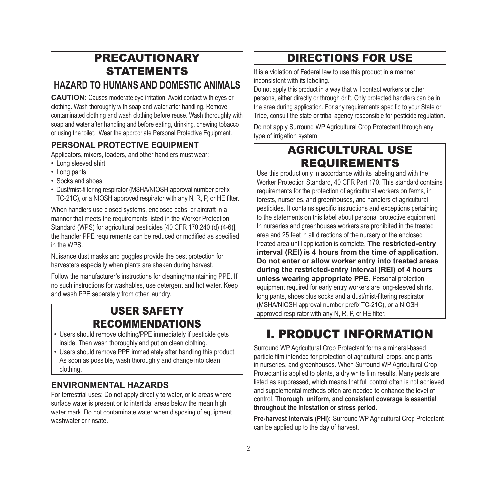## PRECAUTIONARY STATEMENTS

## **HAZARD TO HUMANS AND DOMESTIC ANIMALS**

**CAUTION:** Causes moderate eye irritation. Avoid contact with eyes or clothing. Wash thoroughly with soap and water after handling. Remove contaminated clothing and wash clothing before reuse. Wash thoroughly with soap and water after handling and before eating, drinking, chewing tobacco or using the toilet. Wear the appropriate Personal Protective Equipment.

## **PERSONAL PROTECTIVE EQUIPMENT**

Applicators, mixers, loaders, and other handlers must wear:

- Long sleeved shirt
- Long pants
- Socks and shoes
- Dust/mist-filtering respirator (MSHA/NIOSH approval number prefix TC-21C), or a NIOSH approved respirator with any N, R, P, or HE filter.

When handlers use closed systems, enclosed cabs, or aircraft in a manner that meets the requirements listed in the Worker Protection Standard (WPS) for agricultural pesticides [40 CFR 170.240 (d) (4-6)], the handler PPE requirements can be reduced or modified as specified in the WPS.

Nuisance dust masks and goggles provide the best protection for harvesters especially when plants are shaken during harvest.

Follow the manufacturer's instructions for cleaning/maintaining PPE. If no such instructions for washables, use detergent and hot water. Keep and wash PPE separately from other laundry.

## USER SAFETY RECOMMENDATIONS

- Users should remove clothing/PPE immediately if pesticide gets inside. Then wash thoroughly and put on clean clothing.
- Users should remove PPE immediately after handling this product. As soon as possible, wash thoroughly and change into clean clothing.

## **ENVIRONMENTAL HAZARDS**

For terrestrial uses: Do not apply directly to water, or to areas where surface water is present or to intertidal areas below the mean high water mark. Do not contaminate water when disposing of equipment washwater or rinsate.

## DIRECTIONS FOR USE

It is a violation of Federal law to use this product in a manner inconsistent with its labeling.

Do not apply this product in a way that will contact workers or other persons, either directly or through drift. Only protected handlers can be in the area during application. For any requirements specific to your State or Tribe, consult the state or tribal agency responsible for pesticide regulation.

Do not apply Surround WP Agricultural Crop Protectant through any type of irrigation system.

## AGRICULTURAL USE REQUIREMENTS

Use this product only in accordance with its labeling and with the Worker Protection Standard, 40 CFR Part 170. This standard contains requirements for the protection of agricultural workers on farms, in forests, nurseries, and greenhouses, and handlers of agricultural pesticides. It contains specific instructions and exceptions pertaining to the statements on this label about personal protective equipment. In nurseries and greenhouses workers are prohibited in the treated area and 25 feet in all directions of the nursery or the enclosed treated area until application is complete. **The restricted-entry interval (REI) is 4 hours from the time of application. Do not enter or allow worker entry into treated areas during the restricted-entry interval (REI) of 4 hours unless wearing appropriate PPE.** Personal protection equipment required for early entry workers are long-sleeved shirts, long pants, shoes plus socks and a dust/mist-filtering respirator (MSHA/NIOSH approval number prefix TC-21C), or a NIOSH approved respirator with any N, R, P, or HE filter.

# I. PRODUCT INFORMATION

Surround WP Agricultural Crop Protectant forms a mineral-based particle film intended for protection of agricultural, crops, and plants in nurseries, and greenhouses. When Surround WP Agricultural Crop Protectant is applied to plants, a dry white film results. Many pests are listed as suppressed, which means that full control often is not achieved, and supplemental methods often are needed to enhance the level of control. **Thorough, uniform, and consistent coverage is essential throughout the infestation or stress period.** 

**Pre-harvest intervals (PHI):** Surround WP Agricultural Crop Protectant can be applied up to the day of harvest.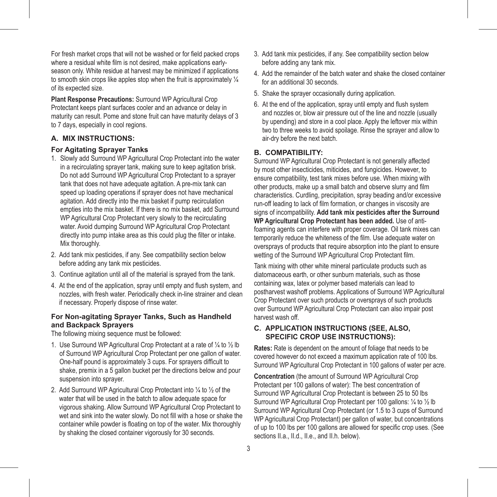For fresh market crops that will not be washed or for field packed crops where a residual white film is not desired, make applications earlyseason only. White residue at harvest may be minimized if applications to smooth skin crops like apples stop when the fruit is approximately ¼ of its expected size.

**Plant Response Precautions:** Surround WP Agricultural Crop Protectant keeps plant surfaces cooler and an advance or delay in maturity can result. Pome and stone fruit can have maturity delays of 3 to 7 days, especially in cool regions.

#### **A. MIX INSTRUCTIONS:**

#### **For Agitating Sprayer Tanks**

- 1. Slowly add Surround WP Agricultural Crop Protectant into the water in a recirculating sprayer tank, making sure to keep agitation brisk. Do not add Surround WP Agricultural Crop Protectant to a sprayer tank that does not have adequate agitation. A pre-mix tank can speed up loading operations if sprayer does not have mechanical agitation. Add directly into the mix basket if pump recirculation empties into the mix basket. If there is no mix basket, add Surround WP Agricultural Crop Protectant very slowly to the recirculating water. Avoid dumping Surround WP Agricultural Crop Protectant directly into pump intake area as this could plug the filter or intake. Mix thoroughly.
- 2. Add tank mix pesticides, if any. See compatibility section below before adding any tank mix pesticides.
- 3. Continue agitation until all of the material is sprayed from the tank.
- 4. At the end of the application, spray until empty and flush system, and nozzles, with fresh water. Periodically check in-line strainer and clean if necessary. Properly dispose of rinse water.

#### **For Non-agitating Sprayer Tanks, Such as Handheld and Backpack Sprayers**

The following mixing sequence must be followed:

- 1. Use Surround WP Agricultural Crop Protectant at a rate of ¼ to ½ lb of Surround WP Agricultural Crop Protectant per one gallon of water. One-half pound is approximately 3 cups. For sprayers difficult to shake, premix in a 5 gallon bucket per the directions below and pour suspension into sprayer.
- 2. Add Surround WP Agricultural Crop Protectant into ¼ to ½ of the water that will be used in the batch to allow adequate space for vigorous shaking. Allow Surround WP Agricultural Crop Protectant to wet and sink into the water slowly. Do not fill with a hose or shake the container while powder is floating on top of the water. Mix thoroughly by shaking the closed container vigorously for 30 seconds.
- 3. Add tank mix pesticides, if any. See compatibility section below before adding any tank mix.
- 4. Add the remainder of the batch water and shake the closed container for an additional 30 seconds.
- 5. Shake the sprayer occasionally during application.
- 6. At the end of the application, spray until empty and flush system and nozzles or, blow air pressure out of the line and nozzle (usually by upending) and store in a cool place. Apply the leftover mix within two to three weeks to avoid spoilage. Rinse the sprayer and allow to air-dry before the next batch.

#### **B. COMPATIBILITY:**

Surround WP Agricultural Crop Protectant is not generally affected by most other insecticides, miticides, and fungicides. However, to ensure compatibility, test tank mixes before use. When mixing with other products, make up a small batch and observe slurry and film characteristics. Curdling, precipitation, spray beading and/or excessive run-off leading to lack of film formation, or changes in viscosity are signs of incompatibility. **Add tank mix pesticides after the Surround WP Agricultural Crop Protectant has been added.** Use of antifoaming agents can interfere with proper coverage. Oil tank mixes can temporarily reduce the whiteness of the film. Use adequate water on oversprays of products that require absorption into the plant to ensure wetting of the Surround WP Agricultural Crop Protectant film.

Tank mixing with other white mineral particulate products such as diatomaceous earth, or other sunburn materials, such as those containing wax, latex or polymer based materials can lead to postharvest washoff problems. Applications of Surround WP Agricultural Crop Protectant over such products or oversprays of such products over Surround WP Agricultural Crop Protectant can also impair post harvest wash off.

#### **C. APPLICATION INSTRUCTIONS (SEE, ALSO, SPECIFIC CROP USE INSTRUCTIONS):**

**Rates:** Rate is dependent on the amount of foliage that needs to be covered however do not exceed a maximum application rate of 100 lbs. Surround WP Agricultural Crop Protectant in 100 gallons of water per acre.

**Concentration** (the amount of Surround WP Agricultural Crop Protectant per 100 gallons of water): The best concentration of Surround WP Agricultural Crop Protectant is between 25 to 50 lbs Surround WP Agricultural Crop Protectant per 100 gallons: 1/4 to 1/2 lb Surround WP Agricultural Crop Protectant (or 1.5 to 3 cups of Surround WP Agricultural Crop Protectant) per gallon of water, but concentrations of up to 100 lbs per 100 gallons are allowed for specific crop uses. (See sections II.a., II.d., II.e., and II.h. below).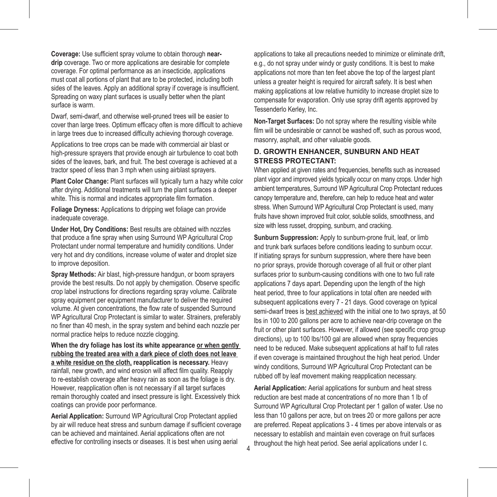**Coverage:** Use sufficient spray volume to obtain thorough **neardrip** coverage. Two or more applications are desirable for complete coverage. For optimal performance as an insecticide, applications must coat all portions of plant that are to be protected, including both sides of the leaves. Apply an additional spray if coverage is insufficient. Spreading on waxy plant surfaces is usually better when the plant surface is warm.

Dwarf, semi-dwarf, and otherwise well-pruned trees will be easier to cover than large trees. Optimum efficacy often is more difficult to achieve in large trees due to increased difficulty achieving thorough coverage.

Applications to tree crops can be made with commercial air blast or high-pressure sprayers that provide enough air turbulence to coat both sides of the leaves, bark, and fruit. The best coverage is achieved at a tractor speed of less than 3 mph when using airblast sprayers.

**Plant Color Change:** Plant surfaces will typically turn a hazy white color after drying. Additional treatments will turn the plant surfaces a deeper white. This is normal and indicates appropriate film formation.

**Foliage Dryness:** Applications to dripping wet foliage can provide inadequate coverage.

**Under Hot, Dry Conditions:** Best results are obtained with nozzles that produce a fine spray when using Surround WP Agricultural Crop Protectant under normal temperature and humidity conditions. Under very hot and dry conditions, increase volume of water and droplet size to improve deposition.

**Spray Methods:** Air blast, high-pressure handgun, or boom sprayers provide the best results. Do not apply by chemigation. Observe specific crop label instructions for directions regarding spray volume. Calibrate spray equipment per equipment manufacturer to deliver the required volume. At given concentrations, the flow rate of suspended Surround WP Agricultural Crop Protectant is similar to water. Strainers, preferably no finer than 40 mesh, in the spray system and behind each nozzle per normal practice helps to reduce nozzle clogging.

**When the dry foliage has lost its white appearance or when gently rubbing the treated area with a dark piece of cloth does not leave a white residue on the cloth, reapplication is necessary.** Heavy rainfall, new growth, and wind erosion will affect film quality. Reapply to re-establish coverage after heavy rain as soon as the foliage is dry. However, reapplication often is not necessary if all target surfaces remain thoroughly coated and insect pressure is light. Excessively thick coatings can provide poor performance.

**Aerial Application:** Surround WP Agricultural Crop Protectant applied by air will reduce heat stress and sunburn damage if sufficient coverage can be achieved and maintained. Aerial applications often are not effective for controlling insects or diseases. It is best when using aerial

applications to take all precautions needed to minimize or eliminate drift, e.g., do not spray under windy or gusty conditions. It is best to make applications not more than ten feet above the top of the largest plant unless a greater height is required for aircraft safety. It is best when making applications at low relative humidity to increase droplet size to compensate for evaporation. Only use spray drift agents approved by Tessenderlo Kerley, Inc.

**Non-Target Surfaces:** Do not spray where the resulting visible white film will be undesirable or cannot be washed off, such as porous wood. masonry, asphalt, and other valuable goods.

#### **D. GROWTH ENHANCER, SUNBURN AND HEAT STRESS PROTECTANT:**

When applied at given rates and frequencies, benefits such as increased plant vigor and improved yields typically occur on many crops. Under high ambient temperatures, Surround WP Agricultural Crop Protectant reduces canopy temperature and, therefore, can help to reduce heat and water stress. When Surround WP Agricultural Crop Protectant is used, many fruits have shown improved fruit color, soluble solids, smoothness, and size with less russet, dropping, sunburn, and cracking.

Sunburn Suppression: Apply to sunburn-prone fruit, leaf, or limb and trunk bark surfaces before conditions leading to sunburn occur. If initiating sprays for sunburn suppression, where there have been no prior sprays, provide thorough coverage of all fruit or other plant surfaces prior to sunburn-causing conditions with one to two full rate applications 7 days apart. Depending upon the length of the high heat period, three to four applications in total often are needed with subsequent applications every 7 - 21 days. Good coverage on typical semi-dwarf trees is best achieved with the initial one to two sprays, at 50 lbs in 100 to 200 gallons per acre to achieve near-drip coverage on the fruit or other plant surfaces. However, if allowed (see specific crop group directions), up to 100 lbs/100 gal are allowed when spray frequencies need to be reduced. Make subsequent applications at half to full rates if even coverage is maintained throughout the high heat period. Under windy conditions. Surround WP Agricultural Crop Protectant can be rubbed off by leaf movement making reapplication necessary.

**Aerial Application:** Aerial applications for sunburn and heat stress reduction are best made at concentrations of no more than 1 lb of Surround WP Agricultural Crop Protectant per 1 gallon of water. Use no less than 10 gallons per acre, but on trees 20 or more gallons per acre are preferred. Repeat applications 3 - 4 times per above intervals or as necessary to establish and maintain even coverage on fruit surfaces throughout the high heat period. See aerial applications under I c. 4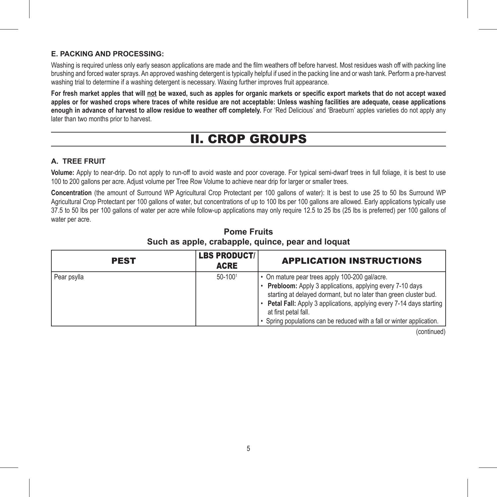#### **E. PACKING AND PROCESSING:**

Washing is required unless only early season applications are made and the film weathers off before harvest. Most residues wash off with packing line brushing and forced water sprays. An approved washing detergent is typically helpful if used in the packing line and or wash tank. Perform a pre-harvest washing trial to determine if a washing detergent is necessary. Waxing further improves fruit appearance.

**For fresh market apples that will not be waxed, such as apples for organic markets or specific export markets that do not accept waxed apples or for washed crops where traces of white residue are not acceptable: Unless washing facilities are adequate, cease applications enough in advance of harvest to allow residue to weather off completely.** For 'Red Delicious' and 'Braeburn' apples varieties do not apply any later than two months prior to harvest.

## II. CROP GROUPS

#### **A. TREE FRUIT**

**Volume:** Apply to near-drip. Do not apply to run-off to avoid waste and poor coverage. For typical semi-dwarf trees in full foliage, it is best to use 100 to 200 gallons per acre. Adjust volume per Tree Row Volume to achieve near drip for larger or smaller trees.

**Concentration** (the amount of Surround WP Agricultural Crop Protectant per 100 gallons of water): It is best to use 25 to 50 lbs Surround WP Agricultural Crop Protectant per 100 gallons of water, but concentrations of up to 100 lbs per 100 gallons are allowed. Early applications typically use 37.5 to 50 lbs per 100 gallons of water per acre while follow-up applications may only require 12.5 to 25 lbs (25 lbs is preferred) per 100 gallons of water per acre.

## **Pome Fruits Such as apple, crabapple, quince, pear and loquat**

| <b>PEST</b> | <b>LBS PRODUCT/</b><br><b>ACRE</b> | <b>APPLICATION INSTRUCTIONS</b>                                                                                                                                                                                                                                                                                                                              |
|-------------|------------------------------------|--------------------------------------------------------------------------------------------------------------------------------------------------------------------------------------------------------------------------------------------------------------------------------------------------------------------------------------------------------------|
| Pear psylla | 50-1001                            | • On mature pear trees apply 100-200 gal/acre.<br>• Prebloom: Apply 3 applications, applying every 7-10 days<br>starting at delayed dormant, but no later than green cluster bud.<br>• Petal Fall: Apply 3 applications, applying every 7-14 days starting<br>at first petal fall.<br>• Spring populations can be reduced with a fall or winter application. |

(continued)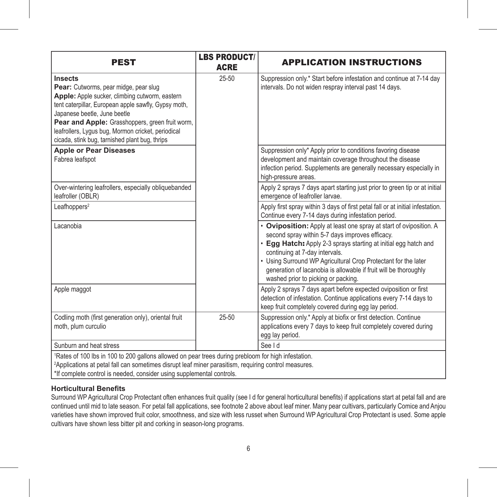| <b>PEST</b>                                                                                                                                                                                                                                                                                                                                           | <b>LBS PRODUCT/</b><br><b>ACRE</b> | <b>APPLICATION INSTRUCTIONS</b>                                                                                                                                                                                                                                                                                                                                                                         |
|-------------------------------------------------------------------------------------------------------------------------------------------------------------------------------------------------------------------------------------------------------------------------------------------------------------------------------------------------------|------------------------------------|---------------------------------------------------------------------------------------------------------------------------------------------------------------------------------------------------------------------------------------------------------------------------------------------------------------------------------------------------------------------------------------------------------|
| Insects<br>Pear: Cutworms, pear midge, pear slug<br>Apple: Apple sucker, climbing cutworm, eastern<br>tent caterpillar, European apple sawfly, Gypsy moth,<br>Japanese beetle, June beetle<br>Pear and Apple: Grasshoppers, green fruit worm,<br>leafrollers, Lygus bug, Mormon cricket, periodical<br>cicada, stink bug, tarnished plant bug, thrips | $25 - 50$                          | Suppression only.* Start before infestation and continue at 7-14 day<br>intervals. Do not widen respray interval past 14 days.                                                                                                                                                                                                                                                                          |
| <b>Apple or Pear Diseases</b><br>Fabrea leafspot                                                                                                                                                                                                                                                                                                      |                                    | Suppression only* Apply prior to conditions favoring disease<br>development and maintain coverage throughout the disease<br>infection period. Supplements are generally necessary especially in<br>high-pressure areas.                                                                                                                                                                                 |
| Over-wintering leafrollers, especially obliquebanded<br>leafroller (OBLR)                                                                                                                                                                                                                                                                             |                                    | Apply 2 sprays 7 days apart starting just prior to green tip or at initial<br>emergence of leafroller larvae.                                                                                                                                                                                                                                                                                           |
| Leafhoppers <sup>2</sup>                                                                                                                                                                                                                                                                                                                              |                                    | Apply first spray within 3 days of first petal fall or at initial infestation.<br>Continue every 7-14 days during infestation period.                                                                                                                                                                                                                                                                   |
| Lacanobia                                                                                                                                                                                                                                                                                                                                             |                                    | • Oviposition: Apply at least one spray at start of oviposition. A<br>second spray within 5-7 days improves efficacy.<br>• Egg Hatch: Apply 2-3 sprays starting at initial egg hatch and<br>continuing at 7-day intervals.<br>• Using Surround WP Agricultural Crop Protectant for the later<br>generation of lacanobia is allowable if fruit will be thoroughly<br>washed prior to picking or packing. |
| Apple maggot                                                                                                                                                                                                                                                                                                                                          |                                    | Apply 2 sprays 7 days apart before expected oviposition or first<br>detection of infestation. Continue applications every 7-14 days to<br>keep fruit completely covered during egg lay period.                                                                                                                                                                                                          |
| Codling moth (first generation only), oriental fruit<br>moth, plum curculio                                                                                                                                                                                                                                                                           | $25 - 50$                          | Suppression only.* Apply at biofix or first detection. Continue<br>applications every 7 days to keep fruit completely covered during<br>egg lay period.                                                                                                                                                                                                                                                 |
| Sunburn and heat stress                                                                                                                                                                                                                                                                                                                               |                                    | See I d                                                                                                                                                                                                                                                                                                                                                                                                 |
| 1Rates of 100 lbs in 100 to 200 gallons allowed on pear trees during prebloom for high infestation.<br><sup>2</sup> Applications at petal fall can sometimes disrupt leaf miner parasitism, requiring control measures.<br>*If complete control is needed, consider using supplemental controls.                                                      |                                    |                                                                                                                                                                                                                                                                                                                                                                                                         |

#### **Horticultural Benefits**

Surround WP Agricultural Crop Protectant often enhances fruit quality (see I d for general horticultural benefits) if applications start at petal fall and are continued until mid to late season. For petal fall applications, see footnote 2 above about leaf miner. Many pear cultivars, particularly Comice and Anjou varieties have shown improved fruit color, smoothness, and size with less russet when Surround WP Agricultural Crop Protectant is used. Some apple cultivars have shown less bitter pit and corking in season-long programs.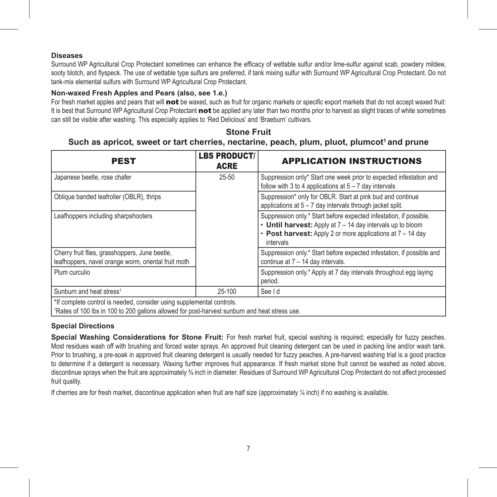#### **Diseases**

Surround WP Agricultural Crop Protectant sometimes can enhance the efficacy of wettable sulfur and/or lime-sulfur against scab, powdery mildew, sooty blotch, and flyspeck. The use of wettable type sulfurs are preferred, if tank mixing sulfur with Surround WP Agricultural Crop Protectant. Do not tank-mix elemental sulfurs with Surround WP Agricultural Crop Protectant.

#### **Non-waxed Fresh Apples and Pears (also, see 1.e.)**

For fresh market apples and pears that will not be waxed, such as fruit for organic markets or specific export markets that do not accept waxed fruit: It is best that Surround WP Agricultural Crop Protectant not be applied any later than two months prior to harvest as slight traces of white sometimes can still be visible after washing. This especially applies to 'Red Delicious' and 'Braeburn' cultivars.

### **Stone Fruit**

### Such as apricot, sweet or tart cherries, nectarine, peach, plum, pluot, plumcot<sup>1</sup> and prune

| <b>PEST</b>                                                                                                                                                            | <b>LBS PRODUCT/</b><br><b>ACRE</b> | <b>APPLICATION INSTRUCTIONS</b>                                                                                                                                                                             |
|------------------------------------------------------------------------------------------------------------------------------------------------------------------------|------------------------------------|-------------------------------------------------------------------------------------------------------------------------------------------------------------------------------------------------------------|
| Japanese beetle, rose chafer                                                                                                                                           | $25 - 50$                          | Suppression only* Start one week prior to expected infestation and<br>follow with 3 to 4 applications at $5 - 7$ day intervals                                                                              |
| Oblique banded leafroller (OBLR), thrips                                                                                                                               |                                    | Suppression* only for OBLR. Start at pink bud and continue<br>applications at $5 - 7$ day intervals through jacket split.                                                                                   |
| Leafhoppers including sharpshooters                                                                                                                                    |                                    | Suppression only.* Start before expected infestation, if possible.<br>• Until harvest: Apply at 7 - 14 day intervals up to bloom<br>• Post harvest: Apply 2 or more applications at 7 - 14 day<br>intervals |
| Cherry fruit flies, grasshoppers, June beetle,<br>leafhoppers, navel orange worm, oriental fruit moth                                                                  |                                    | Suppression only.* Start before expected infestation, if possible and<br>continue at 7 - 14 day intervals.                                                                                                  |
| Plum curculio                                                                                                                                                          |                                    | Suppression only.* Apply at 7 day intervals throughout egg laying<br>period.                                                                                                                                |
| Sunburn and heat stress <sup>1</sup>                                                                                                                                   | 25-100                             | See I d                                                                                                                                                                                                     |
| *If complete control is needed, consider using supplemental controls.<br>1Rates of 100 lbs in 100 to 200 gallons allowed for post-harvest sunburn and heat stress use. |                                    |                                                                                                                                                                                                             |

**Special Directions**

Special Washing Considerations for Stone Fruit: For fresh market fruit, special washing is required; especially for fuzzy peaches. Most residues wash off with brushing and forced water sprays. An approved fruit cleaning detergent can be used in packing line and/or wash tank. Prior to brushing, a pre-soak in approved fruit cleaning detergent is usually needed for fuzzy peaches. A pre-harvest washing trial is a good practice to determine if a detergent is necessary. Waxing further improves fruit appearance. If fresh market stone fruit cannot be washed as noted above, discontinue sprays when the fruit are approximately ¾ inch in diameter. Residues of Surround WP Agricultural Crop Protectant do not affect processed fruit quality.

If cherries are for fresh market, discontinue application when fruit are half size (approximately ¼ inch) if no washing is available.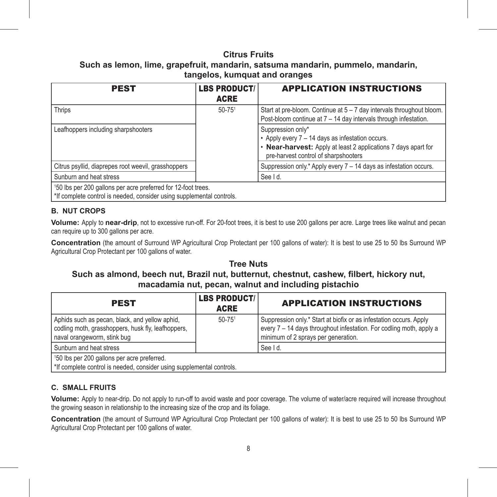### **Citrus Fruits**

**Such as lemon, lime, grapefruit, mandarin, satsuma mandarin, pummelo, mandarin, tangelos, kumquat and oranges**

| <b>PEST</b>                                                                                                                                        | <b>LBS PRODUCT/</b><br><b>ACRE</b> | <b>APPLICATION INSTRUCTIONS</b>                                                                                                                                                 |
|----------------------------------------------------------------------------------------------------------------------------------------------------|------------------------------------|---------------------------------------------------------------------------------------------------------------------------------------------------------------------------------|
| Thrips                                                                                                                                             | $50 - 75$ <sup>1</sup>             | Start at pre-bloom. Continue at 5 - 7 day intervals throughout bloom.<br>Post-bloom continue at 7 - 14 day intervals through infestation.                                       |
| Leafhoppers including sharpshooters                                                                                                                |                                    | Suppression only*<br>• Apply every 7 - 14 days as infestation occurs.<br>• Near-harvest: Apply at least 2 applications 7 days apart for<br>pre-harvest control of sharpshooters |
| Citrus psyllid, diaprepes root weevil, grasshoppers                                                                                                |                                    | Suppression only.* Apply every 7 - 14 days as infestation occurs.                                                                                                               |
| Sunburn and heat stress                                                                                                                            |                                    | See I d.                                                                                                                                                                        |
| <sup>1</sup> 50 lbs per 200 gallons per acre preferred for 12-foot trees.<br>*If complete control is needed, consider using supplemental controls. |                                    |                                                                                                                                                                                 |

#### **B. NUT CROPS**

**Volume:** Apply to **near-drip**, not to excessive run-off. For 20-foot trees, it is best to use 200 gallons per acre. Large trees like walnut and pecan can require up to 300 gallons per acre.

**Concentration** (the amount of Surround WP Agricultural Crop Protectant per 100 gallons of water): It is best to use 25 to 50 lbs Surround WP Agricultural Crop Protectant per 100 gallons of water.

## **Tree Nuts**

## **Such as almond, beech nut, Brazil nut, butternut, chestnut, cashew, filbert, hickory nut, macadamia nut, pecan, walnut and including pistachio**

| <b>PEST</b>                                                                                                                         | <b>LBS PRODUCT/</b><br><b>ACRE</b> | <b>APPLICATION INSTRUCTIONS</b>                                                                                                                                                  |
|-------------------------------------------------------------------------------------------------------------------------------------|------------------------------------|----------------------------------------------------------------------------------------------------------------------------------------------------------------------------------|
| Aphids such as pecan, black, and yellow aphid,<br>codling moth, grasshoppers, husk fly, leafhoppers,<br>naval orangeworm, stink bug | $50 - 75$ <sup>1</sup>             | Suppression only.* Start at biofix or as infestation occurs. Apply<br>every 7 - 14 days throughout infestation. For codling moth, apply a<br>minimum of 2 sprays per generation. |
| Sunburn and heat stress                                                                                                             |                                    | See I d.                                                                                                                                                                         |
| 150 lbs per 200 gallons per acre preferred.<br>*If complete control is needed, consider using supplemental controls.                |                                    |                                                                                                                                                                                  |

#### **C. SMALL FRUITS**

**Volume:** Apply to near-drip. Do not apply to run-off to avoid waste and poor coverage. The volume of water/acre required will increase throughout the growing season in relationship to the increasing size of the crop and its foliage.

**Concentration** (the amount of Surround WP Agricultural Crop Protectant per 100 gallons of water): It is best to use 25 to 50 lbs Surround WP Agricultural Crop Protectant per 100 gallons of water.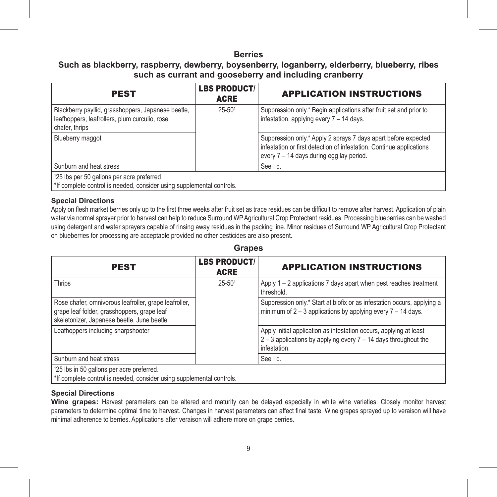#### **Berries**

## **Such as blackberry, raspberry, dewberry, boysenberry, loganberry, elderberry, blueberry, ribes such as currant and gooseberry and including cranberry**

| <b>PEST</b>                                                                                                           | <b>LBS PRODUCT/</b><br><b>ACRE</b> | <b>APPLICATION INSTRUCTIONS</b>                                                                                                                                                    |
|-----------------------------------------------------------------------------------------------------------------------|------------------------------------|------------------------------------------------------------------------------------------------------------------------------------------------------------------------------------|
| Blackberry psyllid, grasshoppers, Japanese beetle,<br>leafhoppers, leafrollers, plum curculio, rose<br>chafer, thrips | $25 - 501$                         | Suppression only.* Begin applications after fruit set and prior to<br>infestation, applying every 7 - 14 days.                                                                     |
| Blueberry maggot                                                                                                      |                                    | Suppression only.* Apply 2 sprays 7 days apart before expected<br>infestation or first detection of infestation. Continue applications<br>every 7 - 14 days during egg lay period. |
| Sunburn and heat stress                                                                                               |                                    | See I d.                                                                                                                                                                           |
| 125 lbs per 50 gallons per acre preferred<br>*If complete control is needed, consider using supplemental controls.    |                                    |                                                                                                                                                                                    |

#### **Special Directions**

Apply on flesh market berries only up to the first three weeks after fruit set as trace residues can be difficult to remove after harvest. Application of plain water via normal sprayer prior to harvest can help to reduce Surround WP Agricultural Crop Protectant residues. Processing blueberries can be washed using detergent and water sprayers capable of rinsing away residues in the packing line. Minor residues of Surround WP Agricultural Crop Protectant on blueberries for processing are acceptable provided no other pesticides are also present.

#### **Grapes**

| <b>PEST</b>                                                                                                                                        | <b>LBS PRODUCT/</b><br><b>ACRE</b> | <b>APPLICATION INSTRUCTIONS</b>                                                                                                                           |
|----------------------------------------------------------------------------------------------------------------------------------------------------|------------------------------------|-----------------------------------------------------------------------------------------------------------------------------------------------------------|
| Thrips                                                                                                                                             | $25 - 501$                         | Apply 1 – 2 applications 7 days apart when pest reaches treatment<br>threshold.                                                                           |
| Rose chafer, omnivorous leafroller, grape leafroller,<br>grape leaf folder, grasshoppers, grape leaf<br>skeletonizer, Japanese beetle, June beetle |                                    | Suppression only.* Start at biofix or as infestation occurs, applying a<br>minimum of $2 - 3$ applications by applying every $7 - 14$ days.               |
| Leafhoppers including sharpshooter                                                                                                                 |                                    | Apply initial application as infestation occurs, applying at least<br>$2 - 3$ applications by applying every $7 - 14$ days throughout the<br>infestation. |
| Sunburn and heat stress                                                                                                                            |                                    | See I d.                                                                                                                                                  |
| 125 lbs in 50 gallons per acre preferred.                                                                                                          |                                    |                                                                                                                                                           |

\*If complete control is needed, consider using supplemental controls.

#### **Special Directions**

Wine grapes: Harvest parameters can be altered and maturity can be delayed especially in white wine varieties. Closely monitor harvest parameters to determine optimal time to harvest. Changes in harvest parameters can affect final taste. Wine grapes sprayed up to veraison will have minimal adherence to berries. Applications after veraison will adhere more on grape berries.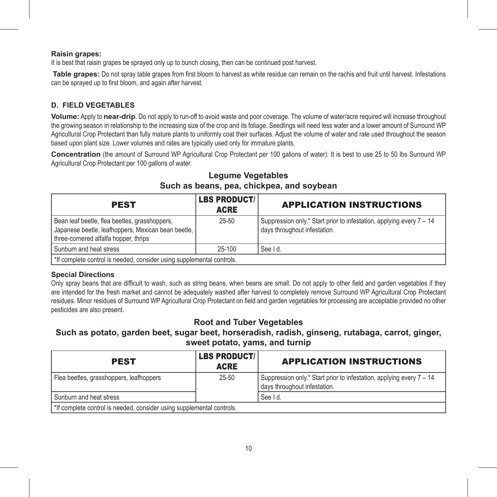#### **Raisin grapes:**

It is best that raisin grapes be sprayed only up to bunch closing, then can be continued post harvest.

**Table grapes:** Do not spray table grapes from first bloom to harvest as white residue can remain on the rachis and fruit until harvest. Infestations can be sprayed up to first bloom, and again after harvest.

#### **D. FIELD VEGETABLES**

**Volume:** Apply to **near-drip**. Do not apply to run-off to avoid waste and poor coverage. The volume of water/acre required will increase throughout the growing season in relationship to the increasing size of the crop and its foliage. Seedlings will need less water and a lower amount of Surround WP Agricultural Crop Protectant than fully mature plants to uniformly coat their surfaces. Adjust the volume of water and rate used throughout the season based upon plant size. Lower volumes and rates are typically used only for immature plants.

**Concentration** (the amount of Surround WP Agricultural Crop Protectant per 100 gallons of water): It is best to use 25 to 50 lbs Surround WP Agricultural Crop Protectant per 100 gallons of water.

## **Legume Vegetables Such as beans, pea, chickpea, and soybean**

| <b>PEST</b>                                                                                                                                  | <b>LBS PRODUCT/</b><br><b>ACRE</b> | <b>APPLICATION INSTRUCTIONS</b>                                                                      |
|----------------------------------------------------------------------------------------------------------------------------------------------|------------------------------------|------------------------------------------------------------------------------------------------------|
| Bean leaf beetle, flea beetles, grasshoppers,<br>Japanese beetle, leafhoppers, Mexican bean beetle,<br>three-cornered alfalfa hopper, thrips | $25 - 50$                          | Suppression only.* Start prior to infestation, applying every 7 - 14<br>days throughout infestation. |
| Sunburn and heat stress                                                                                                                      | 25-100                             | See Id.                                                                                              |
| *If complete control is needed, consider using supplemental controls.                                                                        |                                    |                                                                                                      |

#### **Special Directions**

Only spray beans that are difficult to wash, such as string beans, when beans are small. Do not apply to other field and garden vegetables if they are intended for the fresh market and cannot be adequately washed after harvest to completely remove Surround WP Agricultural Crop Protectant residues. Minor residues of Surround WP Agricultural Crop Protectant on field and garden vegetables for processing are acceptable provided no other pesticides are also present.

## **Root and Tuber Vegetables**

**Such as potato, garden beet, sugar beet, horseradish, radish, ginseng, rutabaga, carrot, ginger, sweet potato, yams, and turnip**

| <b>PEST</b>                                                           | <b>LBS PRODUCT/</b><br><b>ACRE</b> | <b>APPLICATION INSTRUCTIONS</b>                                                                      |
|-----------------------------------------------------------------------|------------------------------------|------------------------------------------------------------------------------------------------------|
| Flea beetles, grasshoppers, leafhoppers                               | $25 - 50$                          | Suppression only.* Start prior to infestation, applying every 7 - 14<br>days throughout infestation. |
| Sunburn and heat stress                                               |                                    | See I d.                                                                                             |
| *If complete control is needed, consider using supplemental controls. |                                    |                                                                                                      |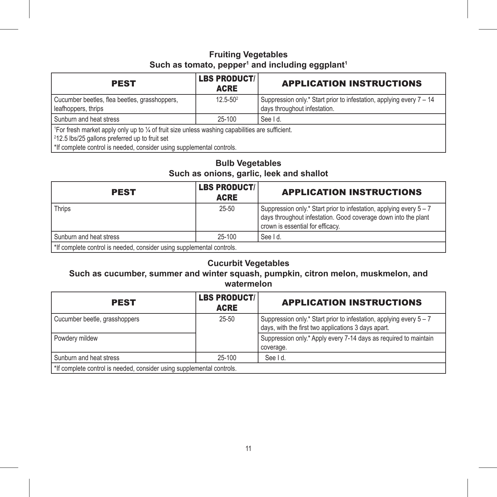## **Fruiting Vegetables** Such as tomato, pepper<sup>1</sup> and including eggplant<sup>1</sup>

| <b>PEST</b>                                                                                                                                                                                                                                         | <b>LBS PRODUCT/</b><br><b>ACRE</b> | <b>APPLICATION INSTRUCTIONS</b>                                                                      |
|-----------------------------------------------------------------------------------------------------------------------------------------------------------------------------------------------------------------------------------------------------|------------------------------------|------------------------------------------------------------------------------------------------------|
| Cucumber beetles, flea beetles, grasshoppers,<br>leafhoppers, thrips                                                                                                                                                                                | $12.5 - 50^2$                      | Suppression only.* Start prior to infestation, applying every 7 - 14<br>days throughout infestation. |
| Sunburn and heat stress                                                                                                                                                                                                                             | 25-100                             | See Id.                                                                                              |
| <sup>1</sup> For fresh market apply only up to 1/4 of fruit size unless washing capabilities are sufficient.<br><sup>2</sup> 12.5 lbs/25 gallons preferred up to fruit set<br>*If complete control is needed, consider using supplemental controls. |                                    |                                                                                                      |

## **Bulb Vegetables Such as onions, garlic, leek and shallot**

| <b>PEST</b>                                                           | <b>LBS PRODUCT/</b><br><b>ACRE</b> | <b>APPLICATION INSTRUCTIONS</b>                                                                                                                                           |
|-----------------------------------------------------------------------|------------------------------------|---------------------------------------------------------------------------------------------------------------------------------------------------------------------------|
| Thrips                                                                | $25 - 50$                          | Suppression only.* Start prior to infestation, applying every 5 - 7<br>days throughout infestation. Good coverage down into the plant<br>crown is essential for efficacy. |
| Sunburn and heat stress                                               | $25-100$                           | See Id.                                                                                                                                                                   |
| *If complete control is needed, consider using supplemental controls. |                                    |                                                                                                                                                                           |

## **Cucurbit Vegetables**

## **Such as cucumber, summer and winter squash, pumpkin, citron melon, muskmelon, and watermelon**

| <b>PEST</b>                                                           | <b>LBS PRODUCT/</b><br><b>ACRE</b> | <b>APPLICATION INSTRUCTIONS</b>                                                                                            |
|-----------------------------------------------------------------------|------------------------------------|----------------------------------------------------------------------------------------------------------------------------|
| Cucumber beetle, grasshoppers                                         | $25 - 50$                          | Suppression only.* Start prior to infestation, applying every 5 - 7<br>days, with the first two applications 3 days apart. |
| Powdery mildew                                                        |                                    | Suppression only.* Apply every 7-14 days as required to maintain<br>coverage.                                              |
| Sunburn and heat stress                                               | 25-100                             | See I d.                                                                                                                   |
| *If complete control is needed, consider using supplemental controls. |                                    |                                                                                                                            |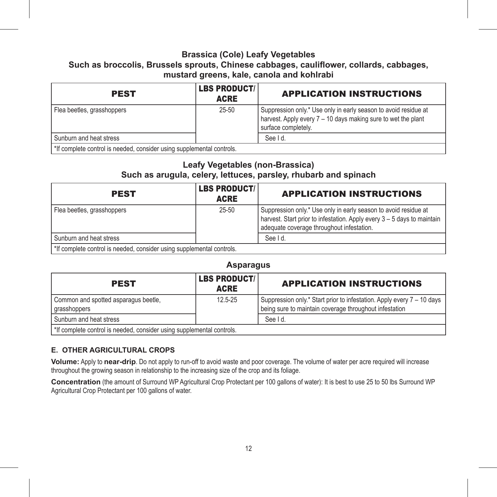#### **Brassica (Cole) Leafy Vegetables**

## **Such as broccolis, Brussels sprouts, Chinese cabbages, cauliflower, collards, cabbages, mustard greens, kale, canola and kohlrabi**

| <b>PEST</b>                                                           | <b>LBS PRODUCT/</b><br><b>ACRE</b> | <b>APPLICATION INSTRUCTIONS</b>                                                                                                                         |
|-----------------------------------------------------------------------|------------------------------------|---------------------------------------------------------------------------------------------------------------------------------------------------------|
| Flea beetles, grasshoppers                                            | $25 - 50$                          | Suppression only.* Use only in early season to avoid residue at<br>harvest. Apply every 7 - 10 days making sure to wet the plant<br>surface completely. |
| Sunburn and heat stress                                               |                                    | See Id.                                                                                                                                                 |
| *If complete control is needed, consider using supplemental controls. |                                    |                                                                                                                                                         |

#### **Leafy Vegetables (non-Brassica)**

### **Such as arugula, celery, lettuces, parsley, rhubarb and spinach**

| <b>PEST</b>                                                           | <b>LBS PRODUCT/</b><br><b>ACRE</b> | <b>APPLICATION INSTRUCTIONS</b>                                                                                                                                                         |
|-----------------------------------------------------------------------|------------------------------------|-----------------------------------------------------------------------------------------------------------------------------------------------------------------------------------------|
| Flea beetles, grasshoppers                                            | $25 - 50$                          | Suppression only.* Use only in early season to avoid residue at<br>harvest. Start prior to infestation. Apply every 3 - 5 days to maintain<br>adequate coverage throughout infestation. |
| Sunburn and heat stress                                               |                                    | See Id.                                                                                                                                                                                 |
| *If complete control is needed, consider using supplemental controls. |                                    |                                                                                                                                                                                         |

## **Asparagus**

| <b>PEST</b>                                                           | <b>LBS PRODUCT/</b><br><b>ACRE</b> | <b>APPLICATION INSTRUCTIONS</b>                                                                                                  |
|-----------------------------------------------------------------------|------------------------------------|----------------------------------------------------------------------------------------------------------------------------------|
| Common and spotted asparagus beetle,<br>grasshoppers                  | $12.5 - 25$                        | Suppression only.* Start prior to infestation. Apply every 7 - 10 days<br>being sure to maintain coverage throughout infestation |
| Sunburn and heat stress                                               |                                    | See I d.                                                                                                                         |
| *If complete control is needed, consider using supplemental controls. |                                    |                                                                                                                                  |

#### **E. OTHER AGRICULTURAL CROPS**

**Volume:** Apply to **near-drip**. Do not apply to run-off to avoid waste and poor coverage. The volume of water per acre required will increase throughout the growing season in relationship to the increasing size of the crop and its foliage.

**Concentration** (the amount of Surround WP Agricultural Crop Protectant per 100 gallons of water): It is best to use 25 to 50 lbs Surround WP Agricultural Crop Protectant per 100 gallons of water.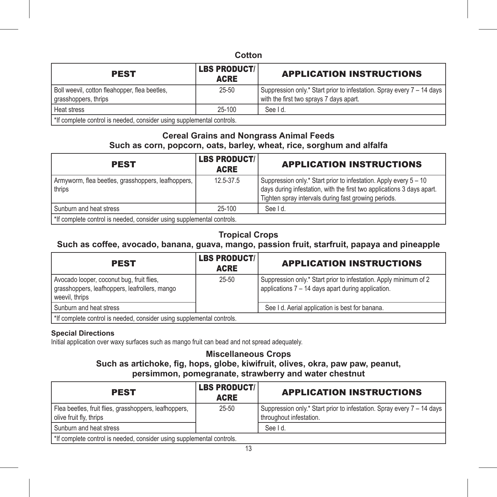### **Cotton**

| <b>PEST</b>                                                           | <b>LBS PRODUCT/</b><br><b>ACRE</b> | <b>APPLICATION INSTRUCTIONS</b>                                                                                   |
|-----------------------------------------------------------------------|------------------------------------|-------------------------------------------------------------------------------------------------------------------|
| Boll weevil, cotton fleahopper, flea beetles,<br>grasshoppers, thrips | $25 - 50$                          | Suppression only.* Start prior to infestation. Spray every 7 - 14 days<br>with the first two spravs 7 davs apart. |
| Heat stress                                                           | $25-100$                           | See I d.                                                                                                          |
| *If complete control is needed, consider using supplemental controls. |                                    |                                                                                                                   |

### **Cereal Grains and Nongrass Animal Feeds Such as corn, popcorn, oats, barley, wheat, rice, sorghum and alfalfa**

| <b>PEST</b>                                                           | <b>LBS PRODUCT/</b><br><b>ACRE</b> | <b>APPLICATION INSTRUCTIONS</b>                                                                                                                                                                     |
|-----------------------------------------------------------------------|------------------------------------|-----------------------------------------------------------------------------------------------------------------------------------------------------------------------------------------------------|
| Armyworm, flea beetles, grasshoppers, leafhoppers,<br>thrips          | 12.5-37.5                          | Suppression only.* Start prior to infestation. Apply every 5 - 10<br>days during infestation, with the first two applications 3 days apart.<br>Tighten spray intervals during fast growing periods. |
| Sunburn and heat stress                                               | 25-100                             | See I d.                                                                                                                                                                                            |
| *If complete control is needed, consider using supplemental controls. |                                    |                                                                                                                                                                                                     |

## **Tropical Crops**

## **Such as coffee, avocado, banana, guava, mango, passion fruit, starfruit, papaya and pineapple**

| <b>PEST</b>                                                                                                  | <b>LBS PRODUCT/</b><br><b>ACRE</b> | <b>APPLICATION INSTRUCTIONS</b>                                                                                         |
|--------------------------------------------------------------------------------------------------------------|------------------------------------|-------------------------------------------------------------------------------------------------------------------------|
| Avocado looper, coconut bug, fruit flies,<br>grasshoppers, leafhoppers, leafrollers, mango<br>weevil, thrips | $25 - 50$                          | Suppression only.* Start prior to infestation. Apply minimum of 2<br>applications 7 - 14 days apart during application. |
| Sunburn and heat stress                                                                                      |                                    | See I d. Aerial application is best for banana.                                                                         |
| *If complete control is needed, consider using supplemental controls.                                        |                                    |                                                                                                                         |

#### **Special Directions**

Initial application over waxy surfaces such as mango fruit can bead and not spread adequately.

### **Miscellaneous Crops Such as artichoke, fig, hops, globe, kiwifruit, olives, okra, paw paw, peanut, persimmon, pomegranate, strawberry and water chestnut**

| <b>PEST</b>                                                                      | <b>LBS PRODUCT/</b><br><b>ACRE</b> | <b>APPLICATION INSTRUCTIONS</b>                                                                   |
|----------------------------------------------------------------------------------|------------------------------------|---------------------------------------------------------------------------------------------------|
| Flea beetles, fruit flies, grasshoppers, leafhoppers,<br>olive fruit fly, thrips | $25 - 50$                          | Suppression only.* Start prior to infestation. Spray every 7 - 14 days<br>throughout infestation. |
| Sunburn and heat stress                                                          |                                    | See Id.                                                                                           |
| *If complete control is needed, consider using supplemental controls.            |                                    |                                                                                                   |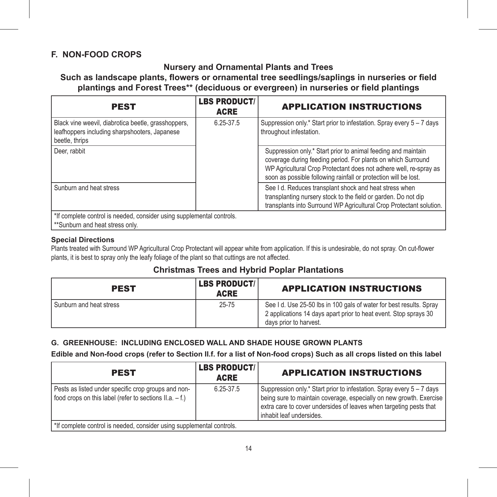## **F. NON-FOOD CROPS**

### **Nursery and Ornamental Plants and Trees**

**Such as landscape plants, flowers or ornamental tree seedlings/saplings in nurseries or field plantings and Forest Trees\*\* (deciduous or evergreen) in nurseries or field plantings**

| <b>PEST</b>                                                                                                            | <b>LBS PRODUCT/</b><br><b>ACRE</b> | <b>APPLICATION INSTRUCTIONS</b>                                                                                                                                                                                                                                       |
|------------------------------------------------------------------------------------------------------------------------|------------------------------------|-----------------------------------------------------------------------------------------------------------------------------------------------------------------------------------------------------------------------------------------------------------------------|
| Black vine weevil, diabrotica beetle, grasshoppers,<br>leafhoppers including sharpshooters, Japanese<br>beetle, thrips | 6.25-37.5                          | Suppression only.* Start prior to infestation. Spray every 5 - 7 days<br>throughout infestation.                                                                                                                                                                      |
| Deer, rabbit                                                                                                           |                                    | Suppression only.* Start prior to animal feeding and maintain<br>coverage during feeding period. For plants on which Surround<br>WP Agricultural Crop Protectant does not adhere well, re-spray as<br>soon as possible following rainfall or protection will be lost. |
| Sunburn and heat stress                                                                                                |                                    | See I d. Reduces transplant shock and heat stress when<br>transplanting nursery stock to the field or garden. Do not dip<br>transplants into Surround WP Agricultural Crop Protectant solution.                                                                       |
| *If complete control is needed, consider using supplemental controls.<br>**Sunburn and heat stress only.               |                                    |                                                                                                                                                                                                                                                                       |

#### **Special Directions**

Plants treated with Surround WP Agricultural Crop Protectant will appear white from application. If this is undesirable, do not spray. On cut-flower plants, it is best to spray only the leafy foliage of the plant so that cuttings are not affected.

## **Christmas Trees and Hybrid Poplar Plantations**

| <b>PEST</b>             | <b>LBS PRODUCT/</b><br><b>ACRE</b> | <b>APPLICATION INSTRUCTIONS</b>                                                                                                                                   |
|-------------------------|------------------------------------|-------------------------------------------------------------------------------------------------------------------------------------------------------------------|
| Sunburn and heat stress | $25 - 75$                          | See I d. Use 25-50 lbs in 100 gals of water for best results. Spray<br>2 applications 14 days apart prior to heat event. Stop sprays 30<br>days prior to harvest. |

#### **G. GREENHOUSE: INCLUDING ENCLOSED WALL AND SHADE HOUSE GROWN PLANTS**

**Edible and Non-food crops (refer to Section II.f. for a list of Non-food crops) Such as all crops listed on this label** 

| <b>PEST</b>                                                                                                    | <b>LBS PRODUCT/</b><br><b>ACRE</b> | <b>APPLICATION INSTRUCTIONS</b>                                                                                                                                                                                                                |
|----------------------------------------------------------------------------------------------------------------|------------------------------------|------------------------------------------------------------------------------------------------------------------------------------------------------------------------------------------------------------------------------------------------|
| Pests as listed under specific crop groups and non-<br>food crops on this label (refer to sections II.a. - f.) | 6.25-37.5                          | Suppression only.* Start prior to infestation. Spray every 5 - 7 days<br>being sure to maintain coverage, especially on new growth. Exercise<br>extra care to cover undersides of leaves when targeting pests that<br>inhabit leaf undersides. |
| *If complete control is needed, consider using supplemental controls.                                          |                                    |                                                                                                                                                                                                                                                |

14